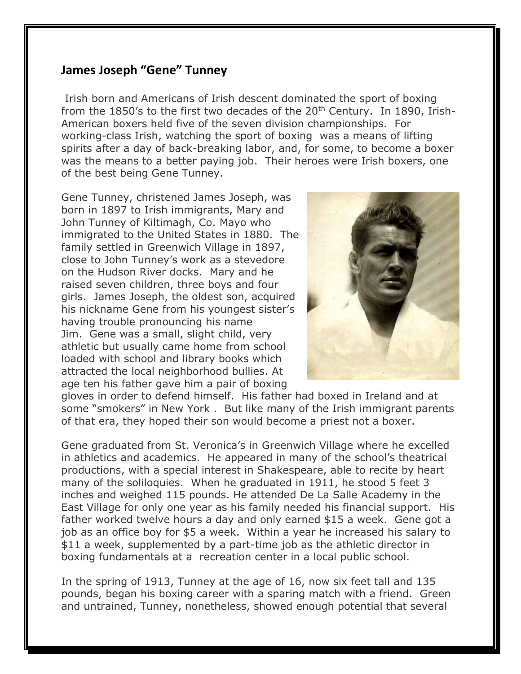## **James Joseph "Gene" Tunney**

Irish born and Americans of Irish descent dominated the sport of boxing from the 1850's to the first two decades of the  $20<sup>th</sup>$  Century. In 1890, Irish-American boxers held five of the seven division championships. For working-class Irish, watching the sport of boxing was a means of lifting spirits after a day of back-breaking labor, and, for some, to become a boxer was the means to a better paying job. Their heroes were Irish boxers, one of the best being Gene Tunney.

Gene Tunney, christened James Joseph, was born in 1897 to Irish immigrants, Mary and John Tunney of Kiltimagh, Co. Mayo who immigrated to the United States in 1880. The family settled in Greenwich Village in 1897, close to John Tunney's work as a stevedore on the Hudson River docks. Mary and he raised seven children, three boys and four girls. James Joseph, the oldest son, acquired his nickname Gene from his youngest sister's having trouble pronouncing his name Jim. Gene was a small, slight child, very athletic but usually came home from school loaded with school and library books which attracted the local neighborhood bullies. At age ten his father gave him a pair of boxing



gloves in order to defend himself. His father had boxed in Ireland and at some "smokers" in New York . But like many of the Irish immigrant parents of that era, they hoped their son would become a priest not a boxer.

Gene graduated from St. Veronica's in Greenwich Village where he excelled in athletics and academics. He appeared in many of the school's theatrical productions, with a special interest in Shakespeare, able to recite by heart many of the soliloquies. When he graduated in 1911, he stood 5 feet 3 inches and weighed 115 pounds. He attended De La Salle Academy in the East Village for only one year as his family needed his financial support. His father worked twelve hours a day and only earned \$15 a week. Gene got a job as an office boy for \$5 a week. Within a year he increased his salary to \$11 a week, supplemented by a part-time job as the athletic director in boxing fundamentals at a recreation center in a local public school.

In the spring of 1913, Tunney at the age of 16, now six feet tall and 135 pounds, began his boxing career with a sparing match with a friend. Green and untrained, Tunney, nonetheless, showed enough potential that several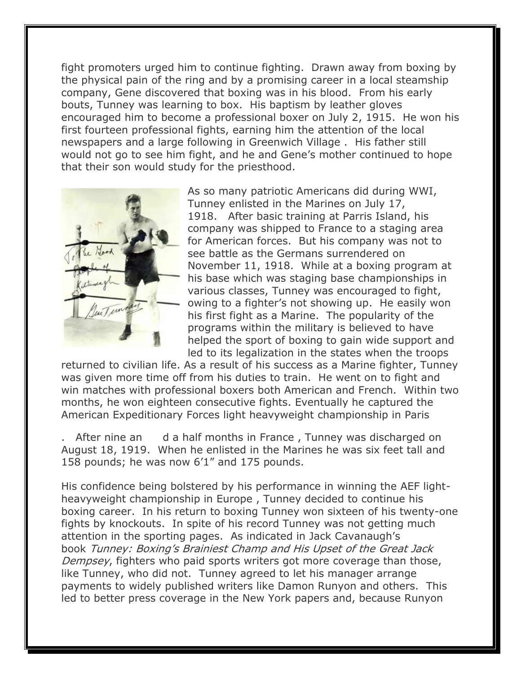fight promoters urged him to continue fighting. Drawn away from boxing by the physical pain of the ring and by a promising career in a local steamship company, Gene discovered that boxing was in his blood. From his early bouts, Tunney was learning to box. His baptism by leather gloves encouraged him to become a professional boxer on July 2, 1915. He won his first fourteen professional fights, earning him the attention of the local newspapers and a large following in Greenwich Village . His father still would not go to see him fight, and he and Gene's mother continued to hope that their son would study for the priesthood.



As so many patriotic Americans did during WWI, Tunney enlisted in the Marines on July 17, 1918. After basic training at Parris Island, his company was shipped to France to a staging area for American forces. But his company was not to see battle as the Germans surrendered on November 11, 1918. While at a boxing program at his base which was staging base championships in various classes, Tunney was encouraged to fight, owing to a fighter's not showing up. He easily won his first fight as a Marine. The popularity of the programs within the military is believed to have helped the sport of boxing to gain wide support and led to its legalization in the states when the troops

returned to civilian life. As a result of his success as a Marine fighter, Tunney was given more time off from his duties to train. He went on to fight and win matches with professional boxers both American and French. Within two months, he won eighteen consecutive fights. Eventually he captured the American Expeditionary Forces light heavyweight championship in Paris

After [n](https://sites.google.com/site/icsofgc/home/hedgemaster-archives-2/people/tunney-james-joseph-gene/Gene_T1.jpg?attredirects=0)ine an d a half months in France, Tunney was discharged on August 18, 1919. When he enlisted in the Marines he was six feet tall and 158 pounds; he was now 6'1" and 175 pounds.

His confidence being bolstered by his performance in winning the AEF lightheavyweight championship in Europe , Tunney decided to continue his boxing career. In his return to boxing Tunney won sixteen of his twenty-one fights by knockouts. In spite of his record Tunney was not getting much attention in the sporting pages. As indicated in Jack Cavanaugh's book Tunney: Boxing's Brainiest Champ and His Upset of the Great Jack Dempsey, fighters who paid sports writers got more coverage than those, like Tunney, who did not. Tunney agreed to let his manager arrange payments to widely published writers like Damon Runyon and others. This led to better press coverage in the New York papers and, because Runyon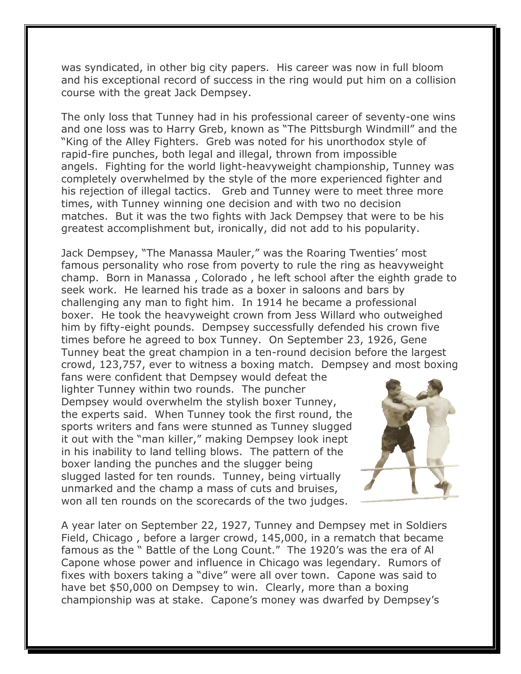was syndicated, in other big city papers. His career was now in full bloom and his exceptional record of success in the ring would put him on a collision course with the great Jack Dempsey.

The only loss that Tunney had in his professional career of seventy-one wins and one loss was to Harry Greb, known as "The Pittsburgh Windmill" and the "King of the Alley Fighters. Greb was noted for his unorthodox style of rapid-fire punches, both legal and illegal, thrown from impossible angels. Fighting for the world light-heavyweight championship, Tunney was completely overwhelmed by the style of the more experienced fighter and his rejection of illegal tactics. Greb and Tunney were to meet three more times, with Tunney winning one decision and with two no decision matches. But it was the two fights with Jack Dempsey that were to be his greatest accomplishment but, ironically, did not add to his popularity.

Jack Dempsey, "The Manassa Mauler," was the Roaring Twenties' most famous personality who rose from poverty to rule the ring as heavyweight champ. Born in Manassa , Colorado , he left school after the eighth grade to seek work. He learned his trade as a boxer in saloons and bars by challenging any man to fight him. In 1914 he became a professional boxer. He took the heavyweight crown from Jess Willard who outweighed him by fifty-eight pounds. Dempsey successfully defended his crown five times before he agreed to box Tunney. On September 23, 1926, Gene Tunney beat the great champion in a ten-round decision before the largest crowd, 123,757, ever to witness a boxing match. Dempsey and most boxing

fans were confident that Dempsey would defeat the lighter Tunney within two rounds. The puncher Dempsey would overwhelm the stylish boxer Tunney, the experts said. When Tunney took the first round, the sports writers and fans were stunned as Tunney slugged it out with the "man killer," making Dempsey look inept in his inability to land telling blows. The pattern of the boxer landing the punches and the slugger being slugged lasted for ten rounds. Tunney, being virtually unmarked and the champ a mass of cuts and bruises, won all ten rounds on the scorecards of the two judges.



A year later on September 22, 1927, Tunney and Dempsey met in Soldiers Field, Chicago , before a larger crowd, 145,000, in a rematch that became famous as the " Battle of the Long Count." The 1920's was the era of Al Capone whose power and influence in Chicago was legendary. Rumors of fixes with boxers taking a "dive" were all over town. Capone was said to have bet \$50,000 on Dempsey to win. Clearly, more than a boxing championship was at stake. Capone's money was dwarfed by Dempsey's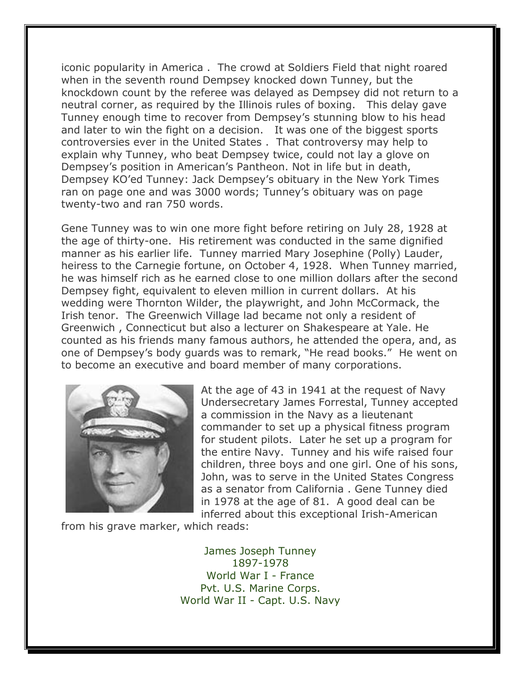iconic popularity in America . The crowd at Soldiers Field that night roared when in the seventh round Dempsey knocked down Tunney, but the knockdown count by the referee was delayed as Dempsey did not return to a neutral corner, as required by the Illinois rules of boxing. This delay gave Tunney enough time to recover from Dempsey's stunning blow to his head and later to win the fight on a decision. It was one of the biggest sports controversies ever in the United States . That controversy may help to explain why Tunney, who beat Dempsey twice, could not lay a glove on Dempsey's position in American's Pantheon. Not in life but in death, Dempsey KO'ed Tunney: Jack Dempsey's obituary in the New York Times ran on page one and was 3000 words; Tunney's obituary was on page twenty-two and ran 750 words.

Gene Tunney was to win one more fight before retiring on July 28, 1928 at the age of thirty-one. His retirement was conducted in the same dignified manner as his earlier life. Tunney married Mary Josephine (Polly) Lauder, heiress to the Carnegie fortune, on October 4, 1928. When Tunney married, he was himself rich as he earned close to one million dollars after the second Dempsey fight, equivalent to eleven million in current dollars. At his wedding were Thornton Wilder, the playwright, and John McCormack, the Irish tenor. The Greenwich Village lad became not only a resident of Greenwich , Connecticut but also a lecturer on Shakespeare at Yale. He counted as his friends many famous authors, he attended the opera, and, as one of Dempsey's body guards was to remark, "He read books." He went on to become an executive and board member of many corporations.



At the age of 43 in 1941 at the request of Navy Undersecretary James Forrestal, Tunney accepted a commission in the Navy as a lieutenant commander to set up a physical fitness program for student pilots. Later he set up a program for the entire Navy. Tunney and his wife raised four children, three boys and one girl. One of his sons, John, was to serve in the United States Congress as a senator from California . Gene Tunney died in 1978 at the age of 81. A good deal can be inferred about this exceptional Irish-American

from his grave marker, which reads:

James Joseph Tunney 1897-1978 World War I - France Pvt. U.S. Marine Corps. World War II - Capt. U.S. Navy